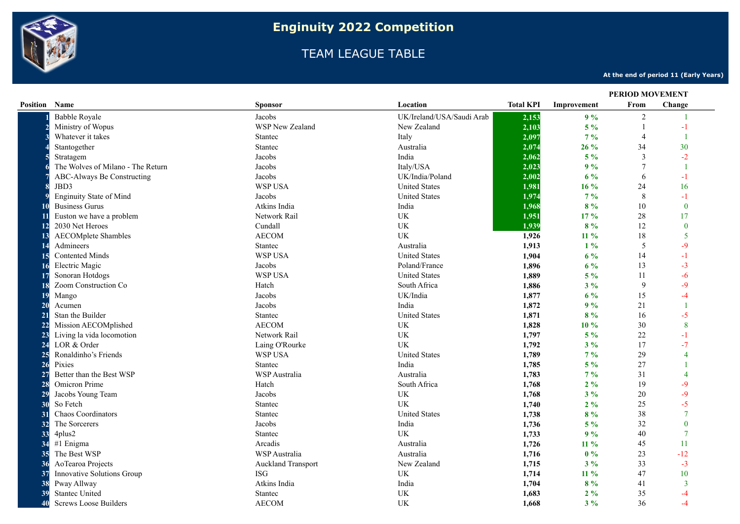

## TEAM LEAGUE TABLE

**At the end of period 11 (Early Years)**

|                      |                                   |                           |                                 |                  | <b>PERIOD MOVEMENT</b> |                |                |
|----------------------|-----------------------------------|---------------------------|---------------------------------|------------------|------------------------|----------------|----------------|
| <b>Position Name</b> |                                   | <b>Sponsor</b>            | Location                        | <b>Total KPI</b> | Improvement            | From           | Change         |
|                      | <b>Babble Royale</b>              | Jacobs                    | UK/Ireland/USA/Saudi Arab       | 2,153            | 9%                     | $\overline{2}$ |                |
|                      | Ministry of Wopus                 | <b>WSP New Zealand</b>    | New Zealand                     | 2,103            | $5\%$                  | $\overline{1}$ | $-1$           |
|                      | Whatever it takes                 | Stantec                   | Italy                           | 2,097            | 7%                     | $\overline{4}$ | $\overline{1}$ |
|                      | Stantogether                      | Stantec                   | Australia                       | 2,074            | 26 %                   | 34             | 30             |
|                      | Stratagem                         | Jacobs                    | India                           | 2,062            | $5\%$                  | 3              | $-2$           |
|                      | The Wolves of Milano - The Return | Jacobs                    | Italy/USA                       | 2,023            | 9%                     |                |                |
|                      | ABC-Always Be Constructing        | Jacobs                    | UK/India/Poland                 | 2,002            | 6%                     | 6              | $-1$           |
|                      | JBD3                              | WSP USA                   | <b>United States</b>            | 1,981            | 16 %                   | 24             | 16             |
|                      | <b>Enginuity State of Mind</b>    | Jacobs                    | <b>United States</b>            | 1,974            | $7\%$                  | 8              | $-1$           |
|                      | <b>Business Gurus</b>             | Atkins India              | India                           | 1,968            | 8%                     | 10             | $\theta$       |
|                      | Euston we have a problem          | Network Rail              | <b>UK</b>                       | 1,951            | 17 %                   | 28             | 17             |
| <b>12</b>            | 2030 Net Heroes                   | Cundall                   | UK                              | 1,939            | 8%                     | 12             | $\bf{0}$       |
| 13                   | <b>AECOMplete Shambles</b>        | <b>AECOM</b>              | <b>UK</b>                       | 1,926            | $11\%$                 | 18             | 5              |
| -14                  | Admineers                         | Stantec                   | Australia                       | 1,913            | $1\%$                  | 5              | $-9$           |
| 15                   | <b>Contented Minds</b>            | <b>WSP USA</b>            | <b>United States</b>            | 1,904            | 6%                     | 14             | $-1$           |
| 16                   | Electric Magic                    | Jacobs                    | Poland/France                   | 1,896            | $6\%$                  | 13             | $-3$           |
| -17                  | Sonoran Hotdogs                   | WSP USA                   | <b>United States</b>            | 1,889            | $5\%$                  | 11             | -6             |
| <b>18</b>            | Zoom Construction Co              | Hatch                     | South Africa                    | 1,886            | $3\%$                  | 9              | $-9$           |
| 19                   | Mango                             | Jacobs                    | UK/India                        | 1,877            | $6\%$                  | 15             | -4             |
| $\overline{20}$      | Acumen                            | Jacobs                    | India                           | 1,872            | 9%                     | 21             |                |
| $\overline{2}1$      | Stan the Builder                  | Stantec                   | <b>United States</b>            | 1,871            | 8%                     | 16             | $-5$           |
| 22                   | Mission AECOMplished              | <b>AECOM</b>              | <b>UK</b>                       | 1,828            | 10 %                   | 30             | 8              |
| 23                   | Living la vida locomotion         | Network Rail              | <b>UK</b>                       | 1,797            | $5\%$                  | $22\,$         | -1             |
| 24                   | LOR & Order                       | Laing O'Rourke            | UK                              | 1,792            | 3%                     | 17             | $-7$           |
| 25                   | Ronaldinho's Friends              | WSP USA                   | <b>United States</b>            | 1,789            | $7\%$                  | 29             |                |
| 26                   | Pixies                            | <b>Stantec</b>            | India                           | 1,785            | $5\%$                  | 27             |                |
| 27                   | Better than the Best WSP          | WSP Australia             | Australia                       | 1,783            | 7%                     | 31             |                |
| 28                   | Omicron Prime                     | Hatch                     | South Africa                    | 1,768            | 2%                     | 19             | $-9$           |
| 29                   | Jacobs Young Team                 | Jacobs                    | $\ensuremath{\text{UK}}\xspace$ | 1,768            | $3\%$                  | 20             | $-9$           |
| 30                   | So Fetch                          | Stantec                   | <b>UK</b>                       | 1,740            | 2%                     | 25             | $-5$           |
| 31                   | <b>Chaos Coordinators</b>         | Stantec                   | <b>United States</b>            | 1,738            | 8%                     | 38             |                |
| 32                   | The Sorcerers                     | Jacobs                    | India                           | 1,736            | $5\%$                  | 32             | $\theta$       |
| 33                   | 4plus2                            | Stantec                   | UK                              | 1,733            | 9%                     | 40             | $\tau$         |
| 34                   | #1 Enigma                         | Arcadis                   | Australia                       | 1,726            | $11\%$                 | 45             | 11             |
| 35                   | The Best WSP                      | WSP Australia             | Australia                       | 1,716            | 0%                     | 23             | $-12$          |
| 36                   | AoTearoa Projects                 | <b>Auckland Transport</b> | New Zealand                     | 1,715            | 3%                     | 33             | $-3$           |
| 37                   | Innovative Solutions Group        | ISG                       | <b>UK</b>                       | 1,714            | $11\%$                 | 47             | 10             |
| 38                   | Pway Allway                       | Atkins India              | India                           | 1,704            | 8%                     | 41             | 3              |
| 39                   | <b>Stantec United</b>             | <b>Stantec</b>            | <b>UK</b>                       | 1,683            | 2%                     | 35             | -4             |
| 40                   | <b>Screws Loose Builders</b>      | <b>AECOM</b>              | <b>UK</b>                       | 1,668            | $3\%$                  | 36             | $-4$           |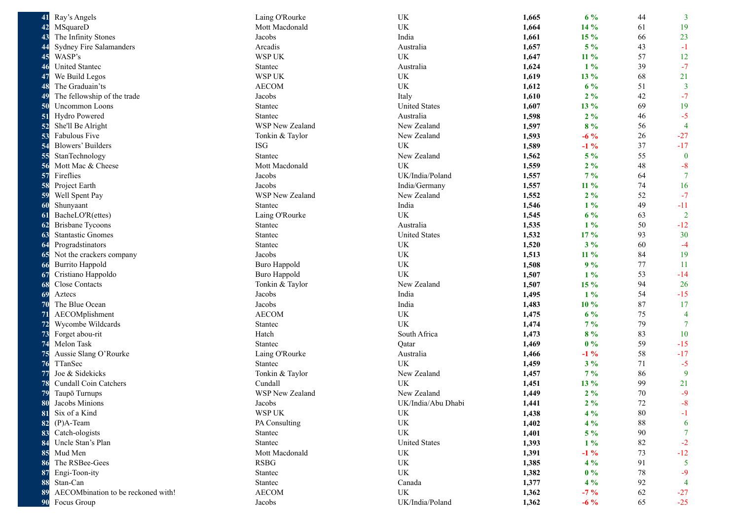| 41        | Ray's Angels                       | Laing O'Rourke      | UK                              | 1,665 | $6\%$  | 44 | $\overline{3}$  |
|-----------|------------------------------------|---------------------|---------------------------------|-------|--------|----|-----------------|
| 42        | MSquareD                           | Mott Macdonald      | <b>UK</b>                       | 1,664 | 14 %   | 61 | 19              |
| 43        | The Infinity Stones                | Jacobs              | India                           | 1,661 | 15 %   | 66 | 23              |
| 44        | Sydney Fire Salamanders            | Arcadis             | Australia                       | 1,657 | $5\%$  | 43 | $-1$            |
| 45        | WASP's                             | WSP UK              | UK                              | 1,647 | $11\%$ | 57 | 12              |
| 46        | United Stantec                     | Stantec             | Australia                       | 1,624 | $1\%$  | 39 | $-7$            |
| -47       | We Build Legos                     | <b>WSP UK</b>       | UK                              | 1,619 | 13 %   | 68 | 21              |
| 48        | The Graduain'ts                    | <b>AECOM</b>        | UK                              | 1,612 | $6\%$  | 51 | $\overline{3}$  |
| 49        | The fellowship of the trade        | Jacobs              | Italy                           | 1,610 | $2\%$  | 42 | $-7$            |
| <b>50</b> | <b>Uncommon Loons</b>              | Stantec             | <b>United States</b>            | 1,607 | 13 %   | 69 | 19              |
| -51       | Hydro Powered                      | Stantec             | Australia                       | 1,598 | $2\%$  | 46 | $-5$            |
| 52        | She'll Be Alright                  | WSP New Zealand     | New Zealand                     | 1,597 | 8%     | 56 | $\overline{4}$  |
| 53        | Fabulous Five                      | Tonkin & Taylor     | New Zealand                     | 1,593 | $-6\%$ | 26 | $-27$           |
| 54        | <b>Blowers' Builders</b>           | <b>ISG</b>          | UK                              | 1,589 | $-1\%$ | 37 | $-17$           |
| 55        | StanTechnology                     | Stantec             | New Zealand                     | 1,562 | $5\%$  | 55 | $\bf{0}$        |
| 56        | Mott Mac & Cheese                  | Mott Macdonald      | UK                              | 1,559 | $2\%$  | 48 | $-8$            |
| 57        | Fireflies                          | Jacobs              | UK/India/Poland                 | 1,557 | $7\%$  | 64 | $7\phantom{.0}$ |
| 58        | Project Earth                      | Jacobs              | India/Germany                   | 1,557 | 11 %   | 74 | 16              |
| 59        | Well Spent Pay                     | WSP New Zealand     | New Zealand                     | 1,552 | $2\%$  | 52 | $-7$            |
| 60        | Shunyaant                          | Stantec             | India                           | 1,546 | $1\%$  | 49 | $-11$           |
| -61       | BacheLO'R(ettes)                   | Laing O'Rourke      | UK                              | 1,545 | $6\%$  | 63 | $\overline{2}$  |
| -62       | <b>Brisbane Tycoons</b>            | Stantec             | Australia                       | 1,535 | $1\%$  | 50 | $-12$           |
| 63        | <b>Stantastic Gnomes</b>           | Stantec             | <b>United States</b>            | 1,532 | 17 %   | 93 | 30              |
| -64       | Progradstinators                   | Stantec             | UK                              | 1,520 | $3\%$  | 60 | $-4$            |
| -65       | Not the crackers company           | Jacobs              | UK                              | 1,513 | 11 %   | 84 | 19              |
| -66       | <b>Burrito Happold</b>             | <b>Buro Happold</b> | UK                              | 1,508 | 9%     | 77 | -11             |
| 67        | Cristiano Happoldo                 | <b>Buro Happold</b> | UK                              | 1,507 | $1\%$  | 53 | $-14$           |
| 68        | Close Contacts                     | Tonkin & Taylor     | New Zealand                     | 1,507 | $15\%$ | 94 | 26              |
| 69        | Aztecs                             | Jacobs              | India                           | 1,495 | $1\%$  | 54 | $-15$           |
| 70        | The Blue Ocean                     | Jacobs              | India                           | 1,483 | 10 %   | 87 | 17              |
| 71        | AECOMplishment                     | <b>AECOM</b>        | UK                              | 1,475 | $6\%$  | 75 | $\overline{4}$  |
| 72        | Wycombe Wildcards                  | Stantec             | UK                              | 1,474 | $7\%$  | 79 | $7\phantom{.0}$ |
| 73        | Forget abou-rit                    | Hatch               | South Africa                    | 1,473 | 8%     | 83 | 10              |
| 74        | Melon Task                         | Stantec             | Qatar                           | 1,469 | $0\%$  | 59 | $-15$           |
| 75        | Aussie Slang O'Rourke              | Laing O'Rourke      | Australia                       | 1,466 | $-1\%$ | 58 | $-17$           |
| 76        | TTanSec                            | Stantec             | <b>UK</b>                       | 1,459 | $3\%$  | 71 | $-5$            |
| 77        | Joe & Sidekicks                    | Tonkin & Taylor     | New Zealand                     | 1,457 | $7\%$  | 86 | 9               |
| 78        | <b>Cundall Coin Catchers</b>       | Cundall             | UK                              | 1,451 | 13 %   | 99 | 21              |
| 79        | Taupō Turnups                      | WSP New Zealand     | New Zealand                     | 1,449 | $2\%$  | 70 | $-9$            |
| 80        | Jacobs Minions                     | Jacobs              | UK/India/Abu Dhabi              | 1,441 | $2\%$  | 72 | $-8$            |
| 81        | Six of a Kind                      | WSP UK              | UK                              | 1,438 | $4\%$  | 80 | $-1$            |
| 82        | $(P)$ A-Team                       | PA Consulting       | $\ensuremath{\text{UK}}\xspace$ | 1,402 | $4\%$  | 88 | 6               |
| 83        | Catch-ologists                     | Stantec             | UK                              | 1,401 | $5\%$  | 90 | $\overline{7}$  |
| 84        | Uncle Stan's Plan                  | Stantec             | <b>United States</b>            | 1,393 | $1\%$  | 82 | $-2$            |
| 85        | Mud Men                            | Mott Macdonald      | UK                              | 1,391 | $-1\%$ | 73 | $-12$           |
| 86        | The RSBee-Gees                     | <b>RSBG</b>         | UK                              | 1,385 | $4\%$  | 91 | 5               |
| 87        | Engi-Toon-ity                      | Stantec             | UK                              | 1,382 | $0\%$  | 78 | $-9$            |
| 88        | Stan-Can                           | Stantec             | Canada                          | 1,377 | $4\%$  | 92 | $\overline{4}$  |
| 89        | AECOMbination to be reckoned with! | <b>AECOM</b>        | UK                              | 1,362 | $-7\%$ | 62 | $-27$           |
| 90        | Focus Group                        | Jacobs              | UK/India/Poland                 | 1,362 | $-6\%$ | 65 | $-25$           |